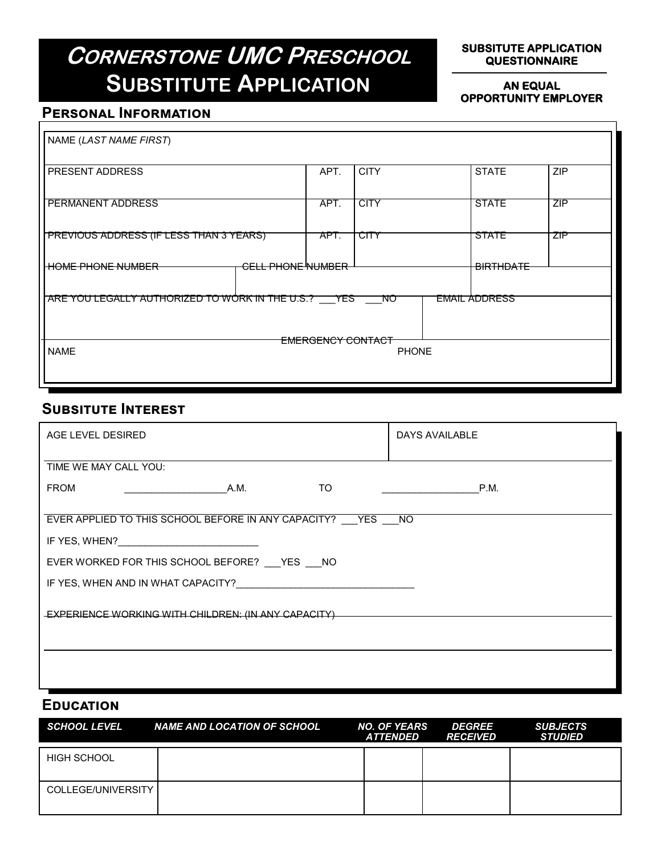# **CORNERSTONE UMC PRESCHOOL SUBSTITUTE APPLICATION**

#### **SUBSITUTE APPLICATION QUESTIONNAIRE**

#### **AN EQUAL OPPORTUNITY EMPLOYER**

## **Personal Information**

| NAME (LAST NAME FIRST)                                                                   |                          |      |             |  |                  |            |
|------------------------------------------------------------------------------------------|--------------------------|------|-------------|--|------------------|------------|
| <b>PRESENT ADDRESS</b>                                                                   |                          | APT. | <b>CITY</b> |  | <b>STATE</b>     | <b>ZIP</b> |
| PERMANENT ADDRESS                                                                        |                          | APT. | <b>CITY</b> |  | <b>STATE</b>     | ZIP        |
| PREVIOUS ADDRESS (IF LESS THAN 3 YEARS)                                                  |                          | APT. | CITY        |  | STATE            | ZIP        |
| <del>HOME PHONE NUMBER</del>                                                             | <b>CELL PHONE NUMBER</b> |      |             |  | <b>BIRTHDATE</b> |            |
| <b>EMAIL ADDRESS</b><br>ARE YOU LEGALLY AUTHORIZED TO WORK IN THE U.S.? YES<br><b>NO</b> |                          |      |             |  |                  |            |
|                                                                                          |                          |      |             |  |                  |            |
| <del>EMERGENCY CONTACT</del><br><b>NAME</b><br><b>PHONE</b>                              |                          |      |             |  |                  |            |
|                                                                                          |                          |      |             |  |                  |            |

## **Subsitute Interest**

| AGE LEVEL DESIRED                                                                                                                                                                                                                    | DAYS AVAILABLE |  |  |  |  |
|--------------------------------------------------------------------------------------------------------------------------------------------------------------------------------------------------------------------------------------|----------------|--|--|--|--|
| TIME WE MAY CALL YOU:                                                                                                                                                                                                                |                |  |  |  |  |
| <b>TO</b><br><b>FROM</b><br>A.M.                                                                                                                                                                                                     | P.M.           |  |  |  |  |
| EVER APPLIED TO THIS SCHOOL BEFORE IN ANY CAPACITY? YES NO                                                                                                                                                                           |                |  |  |  |  |
|                                                                                                                                                                                                                                      |                |  |  |  |  |
| IF YES, WHEN? <b>And All Account Contract Contract Contract Contract Contract Contract Contract Contract Contract Contract Contract Contract Contract Contract Contract Contract Contract Contract Contract Contract Contract Co</b> |                |  |  |  |  |
| EVER WORKED FOR THIS SCHOOL BEFORE? YES NO                                                                                                                                                                                           |                |  |  |  |  |
| IF YES, WHEN AND IN WHAT CAPACITY?                                                                                                                                                                                                   |                |  |  |  |  |
|                                                                                                                                                                                                                                      |                |  |  |  |  |
| EXPERIENCE WORKING WITH CHILDREN: (IN ANY CAPACITY)                                                                                                                                                                                  |                |  |  |  |  |
|                                                                                                                                                                                                                                      |                |  |  |  |  |
|                                                                                                                                                                                                                                      |                |  |  |  |  |
|                                                                                                                                                                                                                                      |                |  |  |  |  |
|                                                                                                                                                                                                                                      |                |  |  |  |  |

### **Education**

| SCHOOL LEVEL       | <b>NAME AND LOCATION OF SCHOOL</b> | <b>NO. OF YEARS</b><br><b>ATTENDED</b> | <b>DEGREE</b><br><i><b>RECEIVED</b></i> | <b>SUBJECTS</b><br><b>STUDIED</b> |
|--------------------|------------------------------------|----------------------------------------|-----------------------------------------|-----------------------------------|
| HIGH SCHOOL        |                                    |                                        |                                         |                                   |
| COLLEGE/UNIVERSITY |                                    |                                        |                                         |                                   |